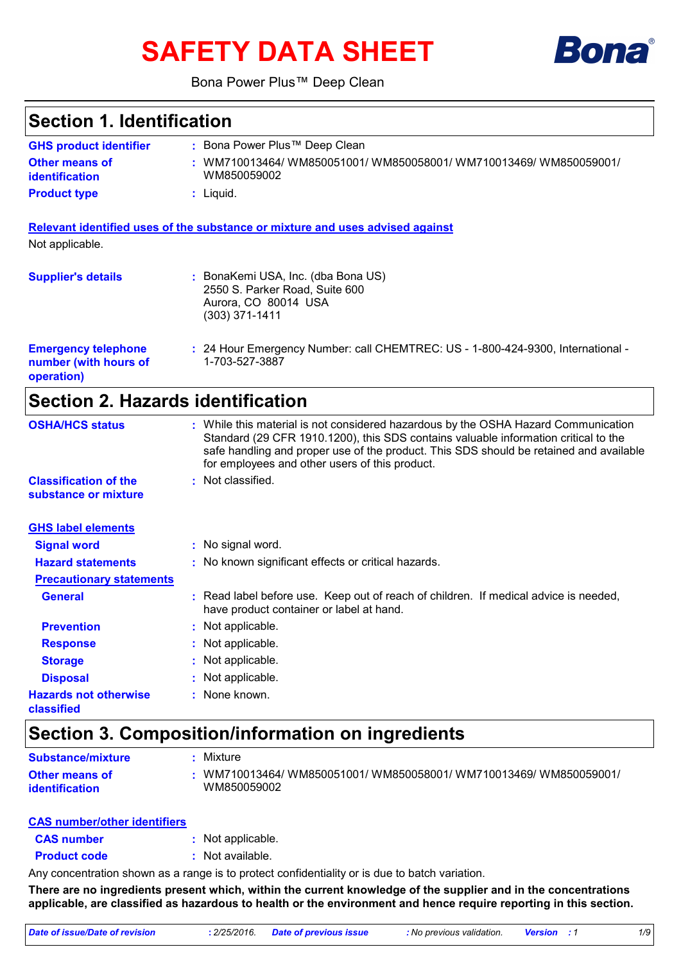# **SAFETY DATA SHEET**



Bona Power Plus™ Deep Clean

# **Section 1. Identification**

| <b>GHS product identifier</b>                  | Bona Power Plus™ Deep Clean                                                     |
|------------------------------------------------|---------------------------------------------------------------------------------|
| <b>Other means of</b><br><i>identification</i> | /WM710013464/ WM850051001/ WM850058001/ WM710013469/ WM850059001<br>WM850059002 |
| <b>Product type</b>                            | Liauid.                                                                         |

**Relevant identified uses of the substance or mixture and uses advised against** Not applicable.

| <b>Supplier's details</b>                                         | BonaKemi USA, Inc. (dba Bona US)<br>2550 S. Parker Road, Suite 600<br>Aurora, CO 80014 USA<br>$(303)$ 371-1411 |
|-------------------------------------------------------------------|----------------------------------------------------------------------------------------------------------------|
| <b>Emergency telephone</b><br>number (with hours of<br>operation) | : 24 Hour Emergency Number: call CHEMTREC: US - 1-800-424-9300, International -<br>1-703-527-3887              |

# **Section 2. Hazards identification**

| <b>OSHA/HCS status</b>                               | : While this material is not considered hazardous by the OSHA Hazard Communication<br>Standard (29 CFR 1910.1200), this SDS contains valuable information critical to the<br>safe handling and proper use of the product. This SDS should be retained and available<br>for employees and other users of this product. |
|------------------------------------------------------|-----------------------------------------------------------------------------------------------------------------------------------------------------------------------------------------------------------------------------------------------------------------------------------------------------------------------|
| <b>Classification of the</b><br>substance or mixture | : Not classified.                                                                                                                                                                                                                                                                                                     |
| <b>GHS label elements</b>                            |                                                                                                                                                                                                                                                                                                                       |
| <b>Signal word</b>                                   | : No signal word.                                                                                                                                                                                                                                                                                                     |
| <b>Hazard statements</b>                             | : No known significant effects or critical hazards.                                                                                                                                                                                                                                                                   |
| <b>Precautionary statements</b>                      |                                                                                                                                                                                                                                                                                                                       |
| <b>General</b>                                       | : Read label before use. Keep out of reach of children. If medical advice is needed,<br>have product container or label at hand.                                                                                                                                                                                      |
| <b>Prevention</b>                                    | : Not applicable.                                                                                                                                                                                                                                                                                                     |
| <b>Response</b>                                      | : Not applicable.                                                                                                                                                                                                                                                                                                     |
| <b>Storage</b>                                       | : Not applicable.                                                                                                                                                                                                                                                                                                     |
| <b>Disposal</b>                                      | : Not applicable.                                                                                                                                                                                                                                                                                                     |
| <b>Hazards not otherwise</b><br>classified           | : None known.                                                                                                                                                                                                                                                                                                         |

# **Section 3. Composition/information on ingredients**

| <b>Substance/mixture</b>                | Mixture                                                                         |
|-----------------------------------------|---------------------------------------------------------------------------------|
| <b>Other means of</b><br>identification | /WM710013464/ WM850051001/ WM850058001/ WM710013469/ WM850059001<br>WM850059002 |

#### **CAS number/other identifiers**

| <b>CAS number</b> | Not applicable. |
|-------------------|-----------------|
|-------------------|-----------------|

**Product code :** Not available.

Any concentration shown as a range is to protect confidentiality or is due to batch variation.

**There are no ingredients present which, within the current knowledge of the supplier and in the concentrations applicable, are classified as hazardous to health or the environment and hence require reporting in this section.**

| Date of issue/Date of revision | : 2/25/2016. Date of previous issue | : No previous validation. | <b>Version</b> : 1 |  |
|--------------------------------|-------------------------------------|---------------------------|--------------------|--|
|                                |                                     |                           |                    |  |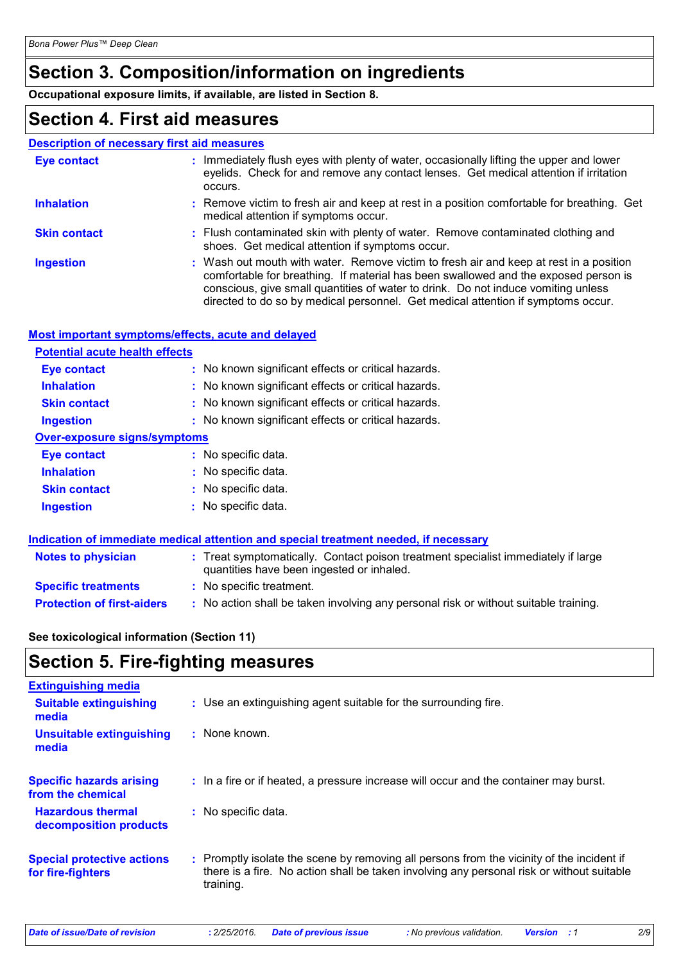# **Section 3. Composition/information on ingredients**

**Occupational exposure limits, if available, are listed in Section 8.**

# **Section 4. First aid measures**

# **Description of necessary first aid measures**

| <b>Eye contact</b>  | : Immediately flush eyes with plenty of water, occasionally lifting the upper and lower<br>eyelids. Check for and remove any contact lenses. Get medical attention if irritation<br>occurs.                                                                                                                                                            |
|---------------------|--------------------------------------------------------------------------------------------------------------------------------------------------------------------------------------------------------------------------------------------------------------------------------------------------------------------------------------------------------|
| <b>Inhalation</b>   | : Remove victim to fresh air and keep at rest in a position comfortable for breathing. Get<br>medical attention if symptoms occur.                                                                                                                                                                                                                     |
| <b>Skin contact</b> | : Flush contaminated skin with plenty of water. Remove contaminated clothing and<br>shoes. Get medical attention if symptoms occur.                                                                                                                                                                                                                    |
| <b>Ingestion</b>    | : Wash out mouth with water. Remove victim to fresh air and keep at rest in a position<br>comfortable for breathing. If material has been swallowed and the exposed person is<br>conscious, give small quantities of water to drink. Do not induce vomiting unless<br>directed to do so by medical personnel. Get medical attention if symptoms occur. |

### **Most important symptoms/effects, acute and delayed**

| <b>Potential acute health effects</b> |                                                                                      |
|---------------------------------------|--------------------------------------------------------------------------------------|
| <b>Eye contact</b>                    | : No known significant effects or critical hazards.                                  |
| <b>Inhalation</b>                     | : No known significant effects or critical hazards.                                  |
| <b>Skin contact</b>                   | : No known significant effects or critical hazards.                                  |
| Ingestion                             | : No known significant effects or critical hazards.                                  |
| <b>Over-exposure signs/symptoms</b>   |                                                                                      |
| <b>Eve contact</b>                    | : No specific data.                                                                  |
| <b>Inhalation</b>                     | : No specific data.                                                                  |
| <b>Skin contact</b>                   | : No specific data.                                                                  |
| <b>Ingestion</b>                      | : No specific data.                                                                  |
|                                       |                                                                                      |
|                                       | Indication of immediate medical attention and special treatment needed, if necessary |

| <b>Notes to physician</b>         | : Treat symptomatically. Contact poison treatment specialist immediately if large<br>quantities have been ingested or inhaled. |  |
|-----------------------------------|--------------------------------------------------------------------------------------------------------------------------------|--|
| <b>Specific treatments</b>        | : No specific treatment.                                                                                                       |  |
| <b>Protection of first-aiders</b> | : No action shall be taken involving any personal risk or without suitable training.                                           |  |

# **See toxicological information (Section 11)**

# **Section 5. Fire-fighting measures**

| <b>Extinguishing media</b>                             |                                                                                                                                                                                                     |
|--------------------------------------------------------|-----------------------------------------------------------------------------------------------------------------------------------------------------------------------------------------------------|
| <b>Suitable extinguishing</b><br>media                 | : Use an extinguishing agent suitable for the surrounding fire.                                                                                                                                     |
| Unsuitable extinguishing<br>media                      | $:$ None known.                                                                                                                                                                                     |
| <b>Specific hazards arising</b><br>from the chemical   | : In a fire or if heated, a pressure increase will occur and the container may burst.                                                                                                               |
| <b>Hazardous thermal</b><br>decomposition products     | : No specific data.                                                                                                                                                                                 |
| <b>Special protective actions</b><br>for fire-fighters | : Promptly isolate the scene by removing all persons from the vicinity of the incident if<br>there is a fire. No action shall be taken involving any personal risk or without suitable<br>training. |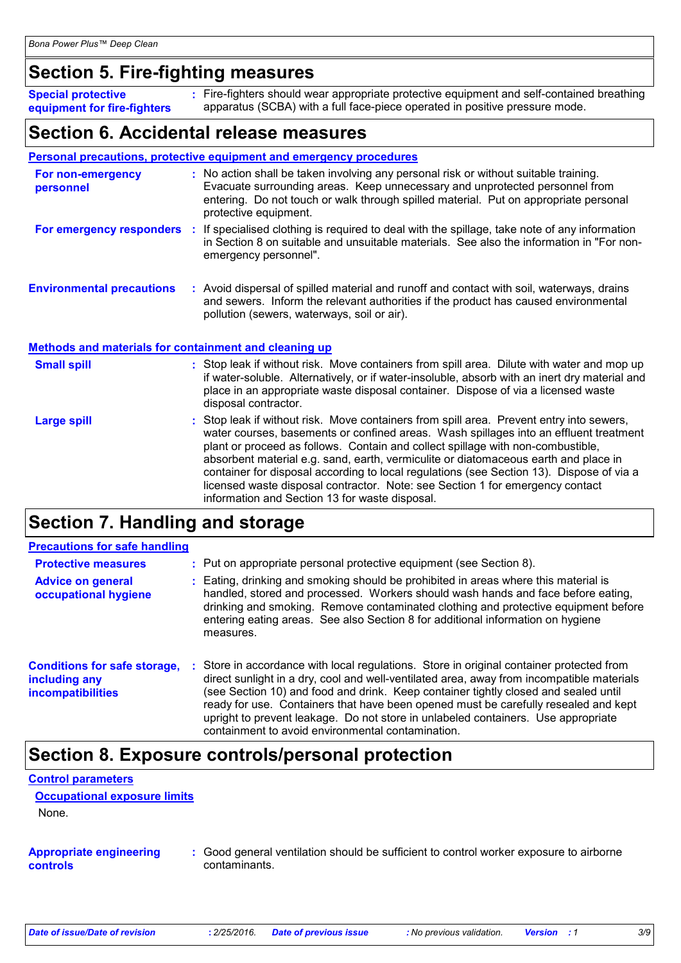# **Section 5. Fire-fighting measures**

| <b>Special protective</b>   | : Fire-fighters should wear appropriate protective equipment and self-contained breathing |
|-----------------------------|-------------------------------------------------------------------------------------------|
| equipment for fire-fighters | apparatus (SCBA) with a full face-piece operated in positive pressure mode.               |

# **Section 6. Accidental release measures**

|                                                       | <b>Personal precautions, protective equipment and emergency procedures</b>                                                                                                                                                                                                                               |
|-------------------------------------------------------|----------------------------------------------------------------------------------------------------------------------------------------------------------------------------------------------------------------------------------------------------------------------------------------------------------|
| For non-emergency<br>personnel                        | : No action shall be taken involving any personal risk or without suitable training.<br>Evacuate surrounding areas. Keep unnecessary and unprotected personnel from<br>entering. Do not touch or walk through spilled material. Put on appropriate personal<br>protective equipment.                     |
|                                                       | For emergency responders : If specialised clothing is required to deal with the spillage, take note of any information<br>in Section 8 on suitable and unsuitable materials. See also the information in "For non-<br>emergency personnel".                                                              |
| <b>Environmental precautions</b>                      | : Avoid dispersal of spilled material and runoff and contact with soil, waterways, drains<br>and sewers. Inform the relevant authorities if the product has caused environmental<br>pollution (sewers, waterways, soil or air).                                                                          |
| Methods and materials for containment and cleaning up |                                                                                                                                                                                                                                                                                                          |
| <b>Small spill</b>                                    | : Stop leak if without risk. Move containers from spill area. Dilute with water and mop up<br>if water-soluble. Alternatively, or if water-insoluble, absorb with an inert dry material and<br>place in an appropriate waste disposal container. Dispose of via a licensed waste<br>disposal contractor. |
| <b>Large spill</b>                                    | : Stop leak if without risk. Move containers from spill area. Prevent entry into sewers,<br>water courses, basements or confined areas. Wash spillages into an effluent treatment<br>plant or proceed as follows. Contain and collect spillage with non-combustible,                                     |

# **Section 7. Handling and storage**

# **Precautions for safe handling**

| <b>Protective measures</b>                                                       | : Put on appropriate personal protective equipment (see Section 8).                                                                                                                                                                                                                                                                                                                                                                                                                                         |
|----------------------------------------------------------------------------------|-------------------------------------------------------------------------------------------------------------------------------------------------------------------------------------------------------------------------------------------------------------------------------------------------------------------------------------------------------------------------------------------------------------------------------------------------------------------------------------------------------------|
| <b>Advice on general</b><br>occupational hygiene                                 | : Eating, drinking and smoking should be prohibited in areas where this material is<br>handled, stored and processed. Workers should wash hands and face before eating,<br>drinking and smoking. Remove contaminated clothing and protective equipment before<br>entering eating areas. See also Section 8 for additional information on hygiene<br>measures.                                                                                                                                               |
| <b>Conditions for safe storage,</b><br>including any<br><b>incompatibilities</b> | Store in accordance with local regulations. Store in original container protected from<br>direct sunlight in a dry, cool and well-ventilated area, away from incompatible materials<br>(see Section 10) and food and drink. Keep container tightly closed and sealed until<br>ready for use. Containers that have been opened must be carefully resealed and kept<br>upright to prevent leakage. Do not store in unlabeled containers. Use appropriate<br>containment to avoid environmental contamination. |

information and Section 13 for waste disposal.

# **Section 8. Exposure controls/personal protection**

#### **Control parameters**

**Occupational exposure limits**

None.

#### **Appropriate engineering controls**

**:** Good general ventilation should be sufficient to control worker exposure to airborne contaminants.

absorbent material e.g. sand, earth, vermiculite or diatomaceous earth and place in container for disposal according to local regulations (see Section 13). Dispose of via a licensed waste disposal contractor. Note: see Section 1 for emergency contact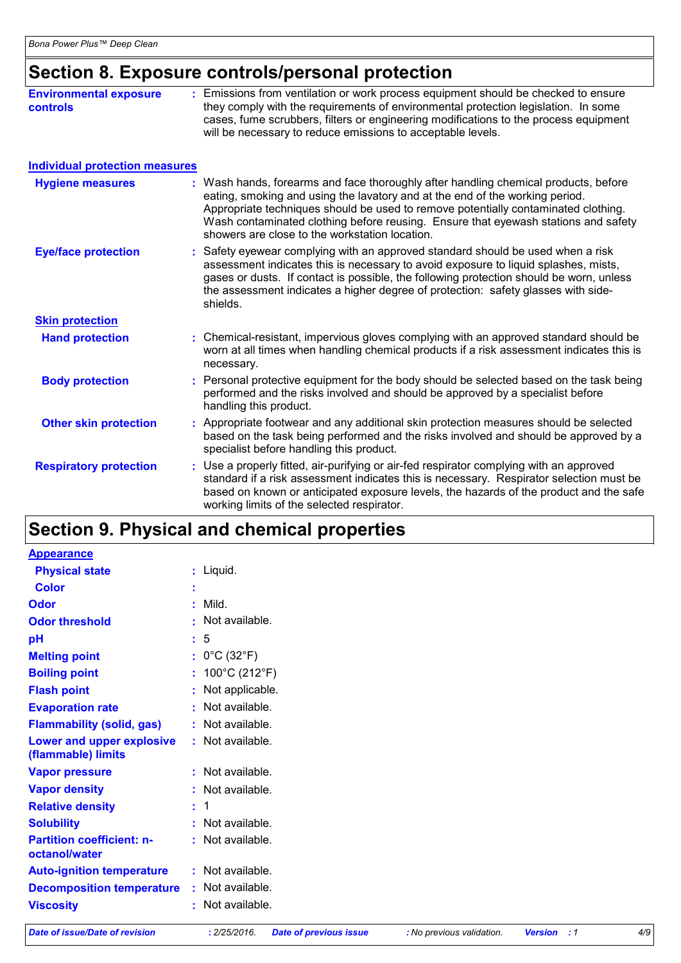# **Section 8. Exposure controls/personal protection**

| <b>Environmental exposure</b><br><b>controls</b> | : Emissions from ventilation or work process equipment should be checked to ensure<br>they comply with the requirements of environmental protection legislation. In some<br>cases, fume scrubbers, filters or engineering modifications to the process equipment<br>will be necessary to reduce emissions to acceptable levels.                                                                   |
|--------------------------------------------------|---------------------------------------------------------------------------------------------------------------------------------------------------------------------------------------------------------------------------------------------------------------------------------------------------------------------------------------------------------------------------------------------------|
| <b>Individual protection measures</b>            |                                                                                                                                                                                                                                                                                                                                                                                                   |
| <b>Hygiene measures</b>                          | : Wash hands, forearms and face thoroughly after handling chemical products, before<br>eating, smoking and using the lavatory and at the end of the working period.<br>Appropriate techniques should be used to remove potentially contaminated clothing.<br>Wash contaminated clothing before reusing. Ensure that eyewash stations and safety<br>showers are close to the workstation location. |
| <b>Eye/face protection</b>                       | : Safety eyewear complying with an approved standard should be used when a risk<br>assessment indicates this is necessary to avoid exposure to liquid splashes, mists,<br>gases or dusts. If contact is possible, the following protection should be worn, unless<br>the assessment indicates a higher degree of protection: safety glasses with side-<br>shields.                                |
| <b>Skin protection</b>                           |                                                                                                                                                                                                                                                                                                                                                                                                   |
| <b>Hand protection</b>                           | : Chemical-resistant, impervious gloves complying with an approved standard should be<br>worn at all times when handling chemical products if a risk assessment indicates this is<br>necessary.                                                                                                                                                                                                   |
| <b>Body protection</b>                           | : Personal protective equipment for the body should be selected based on the task being<br>performed and the risks involved and should be approved by a specialist before<br>handling this product.                                                                                                                                                                                               |
| <b>Other skin protection</b>                     | : Appropriate footwear and any additional skin protection measures should be selected<br>based on the task being performed and the risks involved and should be approved by a<br>specialist before handling this product.                                                                                                                                                                         |
| <b>Respiratory protection</b>                    | : Use a properly fitted, air-purifying or air-fed respirator complying with an approved<br>standard if a risk assessment indicates this is necessary. Respirator selection must be<br>based on known or anticipated exposure levels, the hazards of the product and the safe<br>working limits of the selected respirator.                                                                        |

# **Section 9. Physical and chemical properties**

| <b>Appearance</b>                                 |                                      |
|---------------------------------------------------|--------------------------------------|
| <b>Physical state</b>                             | $:$ Liquid.                          |
| <b>Color</b>                                      |                                      |
| Odor                                              | : Mild.                              |
| <b>Odor threshold</b>                             | : Not available.                     |
| pH                                                | $\frac{1}{2}$ 5                      |
| <b>Melting point</b>                              | : $0^{\circ}$ C (32 $^{\circ}$ F)    |
| <b>Boiling point</b>                              | : $100^{\circ}$ C (212 $^{\circ}$ F) |
| <b>Flash point</b>                                | : Not applicable.                    |
| <b>Evaporation rate</b>                           | : Not available.                     |
| <b>Flammability (solid, gas)</b>                  | : Not available.                     |
| Lower and upper explosive<br>(flammable) limits   | : Not available.                     |
| <b>Vapor pressure</b>                             | $:$ Not available.                   |
| <b>Vapor density</b>                              | : Not available.                     |
| <b>Relative density</b>                           | $\div$ 1                             |
| <b>Solubility</b>                                 | : Not available.                     |
| <b>Partition coefficient: n-</b><br>octanol/water | : Not available.                     |
| <b>Auto-ignition temperature</b>                  | $:$ Not available.                   |
| <b>Decomposition temperature</b>                  | $:$ Not available.                   |
| <b>Viscosity</b>                                  | : Not available.                     |

*Date of issue/Date of revision* **:** *2/25/2016. Date of previous issue : No previous validation. Version : 1 4/9*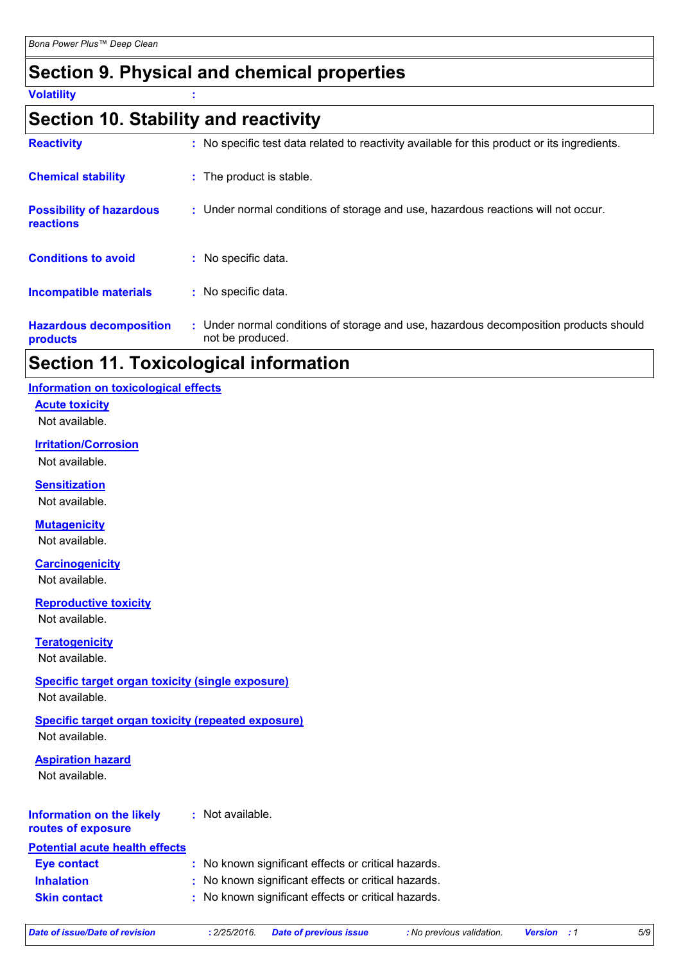# **Section 9. Physical and chemical properties**

**Volatility :**

# **Section 10. Stability and reactivity**

| <b>Hazardous decomposition</b><br>products          | : Under normal conditions of storage and use, hazardous decomposition products should<br>not be produced. |
|-----------------------------------------------------|-----------------------------------------------------------------------------------------------------------|
| <b>Incompatible materials</b>                       | : No specific data.                                                                                       |
| <b>Conditions to avoid</b>                          | : No specific data.                                                                                       |
| <b>Possibility of hazardous</b><br><b>reactions</b> | : Under normal conditions of storage and use, hazardous reactions will not occur.                         |
| <b>Chemical stability</b>                           | : The product is stable.                                                                                  |
| <b>Reactivity</b>                                   | : No specific test data related to reactivity available for this product or its ingredients.              |

# **Section 11. Toxicological information**

#### **Information on toxicological effects**

#### **Acute toxicity**

Not available.

# **Irritation/Corrosion**

Not available.

**Sensitization**

Not available.

# **Mutagenicity**

Not available.

#### **Carcinogenicity**

Not available.

#### **Reproductive toxicity**

Not available.

# **Teratogenicity**

Not available.

# **Specific target organ toxicity (single exposure)**

Not available.

#### **Specific target organ toxicity (repeated exposure)** Not available.

# **Aspiration hazard**

Not available.

#### **Information on the likely routes of exposure :** Not available.

| Potential acute health effects |  |  |
|--------------------------------|--|--|
|                                |  |  |

| : No known significant effects or critical hazards.<br><b>Eye contact</b> |
|---------------------------------------------------------------------------|
|---------------------------------------------------------------------------|

**Inhalation :** No known significant effects or critical hazards. **Skin contact :** No known significant effects or critical hazards.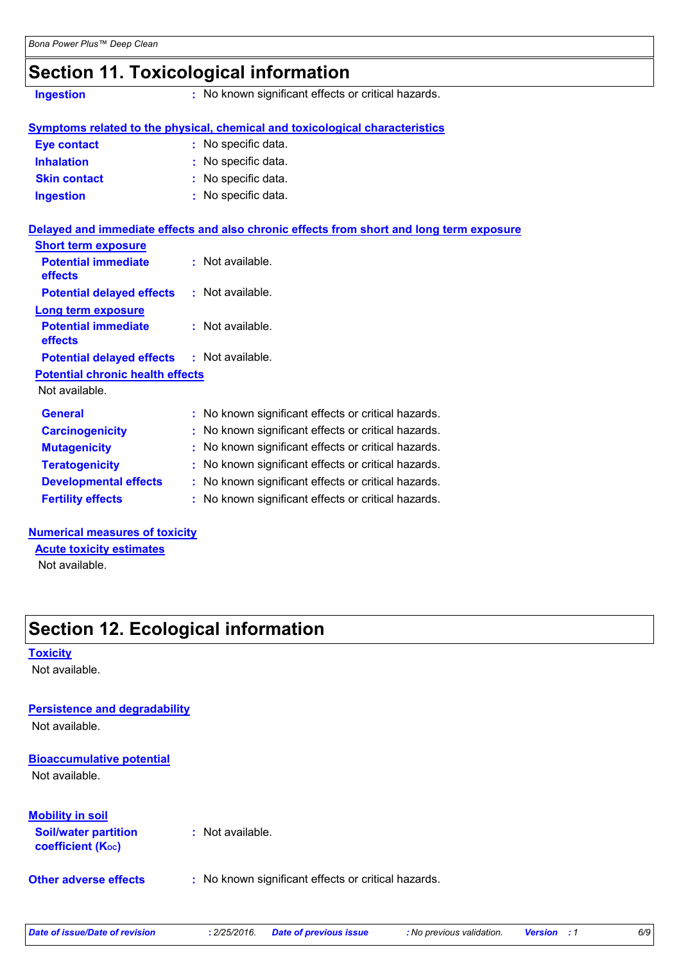# **Section 11. Toxicological information**

**Ingestion :** No known significant effects or critical hazards.

|                     | Symptoms related to the physical, chemical and toxicological characteristics |
|---------------------|------------------------------------------------------------------------------|
| Eye contact         | : No specific data.                                                          |
| <b>Inhalation</b>   | : No specific data.                                                          |
| <b>Skin contact</b> | : No specific data.                                                          |
| <b>Ingestion</b>    | : No specific data.                                                          |
|                     |                                                                              |

|                                                   | Delayed and immediate effects and also chronic effects from short and long term exposure |
|---------------------------------------------------|------------------------------------------------------------------------------------------|
| <b>Short term exposure</b>                        |                                                                                          |
| <b>Potential immediate</b><br>effects             | $:$ Not available.                                                                       |
| <b>Potential delayed effects : Not available.</b> |                                                                                          |
| Long term exposure                                |                                                                                          |
| <b>Potential immediate</b><br><b>effects</b>      | $:$ Not available.                                                                       |
| <b>Potential delayed effects : Not available.</b> |                                                                                          |
| <b>Potential chronic health effects</b>           |                                                                                          |
| Not available.                                    |                                                                                          |
| <b>General</b>                                    | : No known significant effects or critical hazards.                                      |
| <b>Carcinogenicity</b>                            | : No known significant effects or critical hazards.                                      |
| <b>Mutagenicity</b>                               | : No known significant effects or critical hazards.                                      |
| <b>Teratogenicity</b>                             | : No known significant effects or critical hazards.                                      |
| <b>Developmental effects</b>                      | : No known significant effects or critical hazards.                                      |
| <b>Fertility effects</b>                          | : No known significant effects or critical hazards.                                      |

#### **Numerical measures of toxicity**

Not available. **Acute toxicity estimates**

# **Section 12. Ecological information**

#### **Toxicity**

Not available.

#### **Persistence and degradability**

Not available.

# **Bioaccumulative potential**

Not available.

#### **Mobility in soil**

| <b>Soil/water partition</b>    | : Not available. |
|--------------------------------|------------------|
| coefficient (K <sub>oc</sub> ) |                  |

**Other adverse effects :** No known significant effects or critical hazards.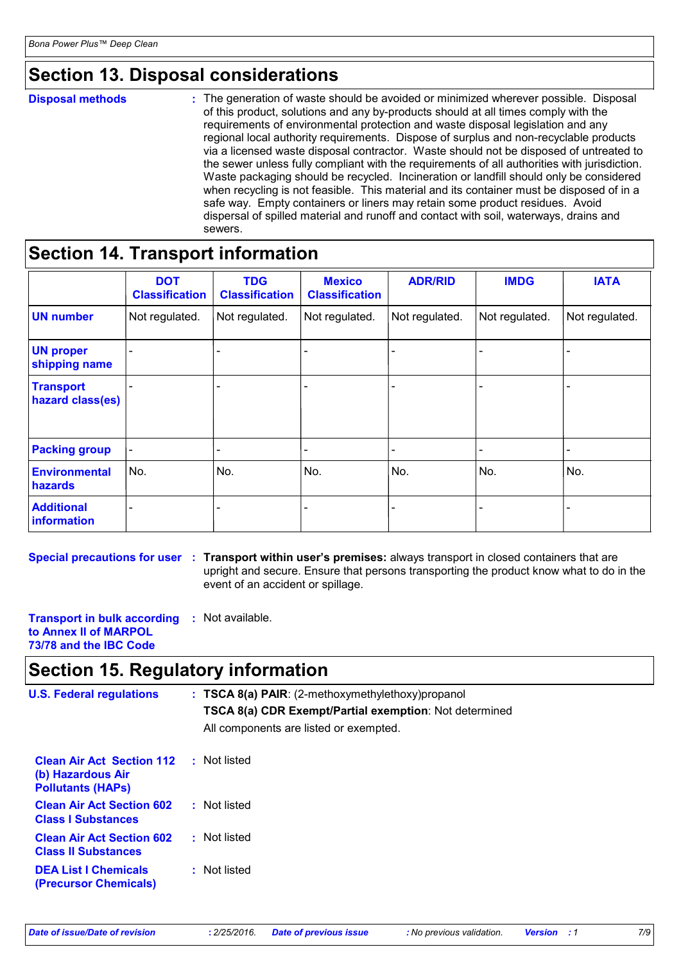# **Section 13. Disposal considerations**

**Disposal methods :**

The generation of waste should be avoided or minimized wherever possible. Disposal of this product, solutions and any by-products should at all times comply with the requirements of environmental protection and waste disposal legislation and any regional local authority requirements. Dispose of surplus and non-recyclable products via a licensed waste disposal contractor. Waste should not be disposed of untreated to the sewer unless fully compliant with the requirements of all authorities with jurisdiction. Waste packaging should be recycled. Incineration or landfill should only be considered when recycling is not feasible. This material and its container must be disposed of in a safe way. Empty containers or liners may retain some product residues. Avoid dispersal of spilled material and runoff and contact with soil, waterways, drains and sewers.

# **Section 14. Transport information**

|                                      | <b>DOT</b><br><b>Classification</b> | <b>TDG</b><br><b>Classification</b> | <b>Mexico</b><br><b>Classification</b> | <b>ADR/RID</b> | <b>IMDG</b>    | <b>IATA</b>              |
|--------------------------------------|-------------------------------------|-------------------------------------|----------------------------------------|----------------|----------------|--------------------------|
| <b>UN number</b>                     | Not regulated.                      | Not regulated.                      | Not regulated.                         | Not regulated. | Not regulated. | Not regulated.           |
| <b>UN proper</b><br>shipping name    |                                     |                                     |                                        |                |                |                          |
| <b>Transport</b><br>hazard class(es) |                                     |                                     |                                        |                |                | $\overline{\phantom{0}}$ |
| <b>Packing group</b>                 |                                     |                                     |                                        |                | -              |                          |
| <b>Environmental</b><br>hazards      | No.                                 | No.                                 | No.                                    | No.            | No.            | No.                      |
| <b>Additional</b><br>information     |                                     |                                     |                                        |                |                |                          |

**Special precautions for user** : Transport within user's premises: always transport in closed containers that are upright and secure. Ensure that persons transporting the product know what to do in the event of an accident or spillage.

**Transport in bulk according :** Not available. **to Annex II of MARPOL 73/78 and the IBC Code**

# **Section 15. Regulatory information**

| <b>U.S. Federal regulations</b>                                                   | $: TSCA 8(a) PAIR: (2-methoxymethylethoxy) propanol$<br>TSCA 8(a) CDR Exempt/Partial exemption: Not determined<br>All components are listed or exempted. |  |
|-----------------------------------------------------------------------------------|----------------------------------------------------------------------------------------------------------------------------------------------------------|--|
| <b>Clean Air Act Section 112</b><br>(b) Hazardous Air<br><b>Pollutants (HAPS)</b> | : Not listed                                                                                                                                             |  |
| <b>Clean Air Act Section 602</b><br><b>Class I Substances</b>                     | : Not listed                                                                                                                                             |  |
| <b>Clean Air Act Section 602</b><br><b>Class II Substances</b>                    | : Not listed                                                                                                                                             |  |
| <b>DEA List I Chemicals</b><br><b>(Precursor Chemicals)</b>                       | : Not listed                                                                                                                                             |  |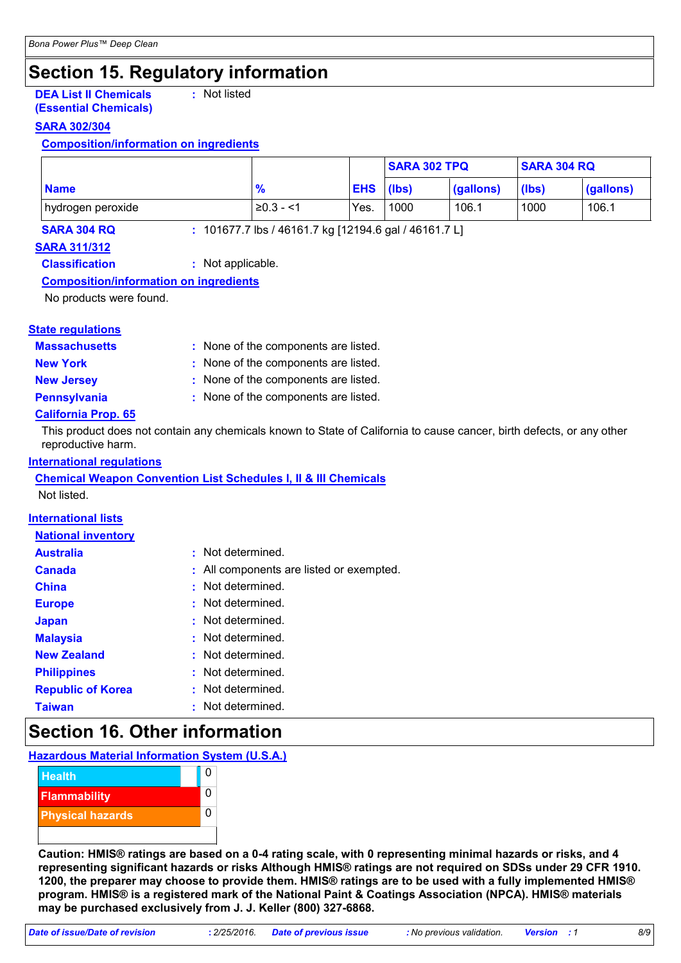# **Section 15. Regulatory information**

**DEA List II Chemicals (Essential Chemicals) :** Not listed

#### **SARA 302/304**

#### **Composition/information on ingredients**

|                                   |                                                       |            | <b>SARA 302 TPQ</b> |           | <b>SARA 304 RQ</b> |           |
|-----------------------------------|-------------------------------------------------------|------------|---------------------|-----------|--------------------|-----------|
| <b>Name</b>                       | $\frac{9}{6}$                                         | <b>EHS</b> | (lbs)               | (gallons) | (lbs)              | (gallons) |
| hydrogen peroxide                 | $\geq 0.3 - 1$                                        | Yes.       | 1000                | 106.1     | 1000               | 106.1     |
| <b>SARA 304 RQ</b><br>ADA AJJIAJA | : 101677.7 lbs / 46161.7 kg [12194.6 gal / 46161.7 L] |            |                     |           |                    |           |

### **SARA 311/312**

**Classification :** Not applicable.

#### **Composition/information on ingredients**

No products were found.

# **State regulations**

| <b>Massachusetts</b> | : None of the components are listed. |
|----------------------|--------------------------------------|
| <b>New York</b>      | : None of the components are listed. |
| <b>New Jersey</b>    | : None of the components are listed. |

**Pennsylvania** : None of the components are listed.

### **California Prop. 65**

This product does not contain any chemicals known to State of California to cause cancer, birth defects, or any other reproductive harm.

#### **International regulations**

**Chemical Weapon Convention List Schedules I, II & III Chemicals** Not listed.

#### **International lists**

# **National inventory**

| <b>Australia</b>         | : Not determined.                        |
|--------------------------|------------------------------------------|
| <b>Canada</b>            | : All components are listed or exempted. |
| <b>China</b>             | : Not determined.                        |
| <b>Europe</b>            | : Not determined.                        |
| <b>Japan</b>             | : Not determined.                        |
| <b>Malaysia</b>          | : Not determined.                        |
| <b>New Zealand</b>       | : Not determined.                        |
| <b>Philippines</b>       | : Not determined.                        |
| <b>Republic of Korea</b> | : Not determined.                        |
| <b>Taiwan</b>            | : Not determined.                        |
|                          |                                          |

# **Section 16. Other information**

#### **Hazardous Material Information System (U.S.A.)**



**Caution: HMIS® ratings are based on a 0-4 rating scale, with 0 representing minimal hazards or risks, and 4 representing significant hazards or risks Although HMIS® ratings are not required on SDSs under 29 CFR 1910. 1200, the preparer may choose to provide them. HMIS® ratings are to be used with a fully implemented HMIS® program. HMIS® is a registered mark of the National Paint & Coatings Association (NPCA). HMIS® materials may be purchased exclusively from J. J. Keller (800) 327-6868.**